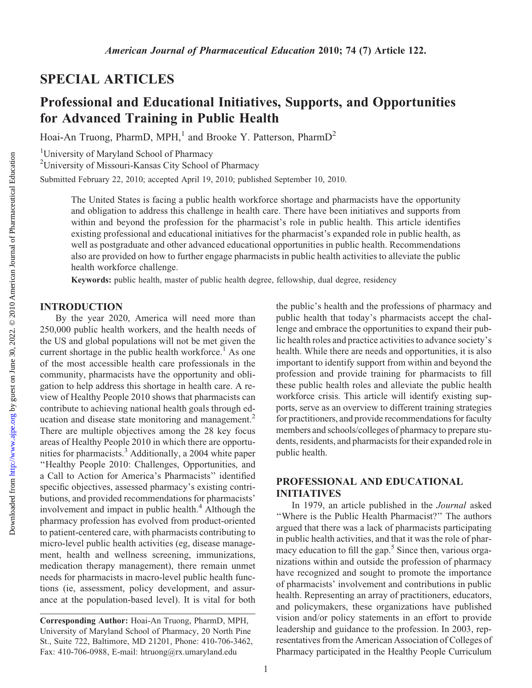## SPECIAL ARTICLES

# Professional and Educational Initiatives, Supports, and Opportunities for Advanced Training in Public Health

Hoai-An Truong, PharmD, MPH,<sup>1</sup> and Brooke Y. Patterson, PharmD<sup>2</sup>

<sup>1</sup>University of Maryland School of Pharmacy

<sup>2</sup>University of Missouri-Kansas City School of Pharmacy

Submitted February 22, 2010; accepted April 19, 2010; published September 10, 2010.

The United States is facing a public health workforce shortage and pharmacists have the opportunity and obligation to address this challenge in health care. There have been initiatives and supports from within and beyond the profession for the pharmacist's role in public health. This article identifies existing professional and educational initiatives for the pharmacist's expanded role in public health, as well as postgraduate and other advanced educational opportunities in public health. Recommendations also are provided on how to further engage pharmacists in public health activities to alleviate the public health workforce challenge.

Keywords: public health, master of public health degree, fellowship, dual degree, residency

#### INTRODUCTION

By the year 2020, America will need more than 250,000 public health workers, and the health needs of the US and global populations will not be met given the current shortage in the public health workforce.<sup>1</sup> As one of the most accessible health care professionals in the community, pharmacists have the opportunity and obligation to help address this shortage in health care. A review of Healthy People 2010 shows that pharmacists can contribute to achieving national health goals through education and disease state monitoring and management.<sup>2</sup> There are multiple objectives among the 28 key focus areas of Healthy People 2010 in which there are opportunities for pharmacists.<sup>3</sup> Additionally, a 2004 white paper ''Healthy People 2010: Challenges, Opportunities, and a Call to Action for America's Pharmacists'' identified specific objectives, assessed pharmacy's existing contributions, and provided recommendations for pharmacists' involvement and impact in public health. $4$  Although the pharmacy profession has evolved from product-oriented to patient-centered care, with pharmacists contributing to micro-level public health activities (eg, disease management, health and wellness screening, immunizations, medication therapy management), there remain unmet needs for pharmacists in macro-level public health functions (ie, assessment, policy development, and assurance at the population-based level). It is vital for both

the public's health and the professions of pharmacy and public health that today's pharmacists accept the challenge and embrace the opportunities to expand their public health roles and practice activities to advance society's health. While there are needs and opportunities, it is also important to identify support from within and beyond the profession and provide training for pharmacists to fill these public health roles and alleviate the public health workforce crisis. This article will identify existing supports, serve as an overview to different training strategies for practitioners, and provide recommendations for faculty members and schools/colleges of pharmacy to prepare students, residents, and pharmacists for their expanded role in public health.

### PROFESSIONAL AND EDUCATIONAL INITIATIVES

In 1979, an article published in the Journal asked ''Where is the Public Health Pharmacist?'' The authors argued that there was a lack of pharmacists participating in public health activities, and that it was the role of pharmacy education to fill the gap.<sup>5</sup> Since then, various organizations within and outside the profession of pharmacy have recognized and sought to promote the importance of pharmacists' involvement and contributions in public health. Representing an array of practitioners, educators, and policymakers, these organizations have published vision and/or policy statements in an effort to provide leadership and guidance to the profession. In 2003, representatives from the American Association of Colleges of Pharmacy participated in the Healthy People Curriculum

Corresponding Author: Hoai-An Truong, PharmD, MPH, University of Maryland School of Pharmacy, 20 North Pine St., Suite 722, Baltimore, MD 21201, Phone: 410-706-3462, Fax: 410-706-0988, E-mail: htruong@rx.umaryland.edu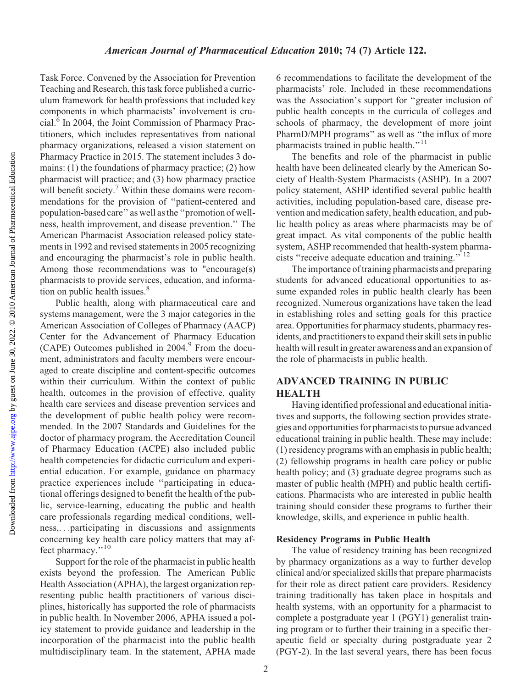Task Force. Convened by the Association for Prevention Teaching and Research, this task force published a curriculum framework for health professions that included key components in which pharmacists' involvement is crucial.<sup>6</sup> In 2004, the Joint Commission of Pharmacy Practitioners, which includes representatives from national pharmacy organizations, released a vision statement on Pharmacy Practice in 2015. The statement includes 3 domains: (1) the foundations of pharmacy practice; (2) how pharmacist will practice; and (3) how pharmacy practice will benefit society.<sup>7</sup> Within these domains were recommendations for the provision of ''patient-centered and population-based care'' as well as the ''promotion of wellness, health improvement, and disease prevention.'' The American Pharmacist Association released policy statements in 1992 and revised statements in 2005 recognizing and encouraging the pharmacist's role in public health. Among those recommendations was to "encourage(s) pharmacists to provide services, education, and information on public health issues.<sup>8</sup>

Public health, along with pharmaceutical care and systems management, were the 3 major categories in the American Association of Colleges of Pharmacy (AACP) Center for the Advancement of Pharmacy Education (CAPE) Outcomes published in  $2004<sup>9</sup>$  From the document, administrators and faculty members were encouraged to create discipline and content-specific outcomes within their curriculum. Within the context of public health, outcomes in the provision of effective, quality health care services and disease prevention services and the development of public health policy were recommended. In the 2007 Standards and Guidelines for the doctor of pharmacy program, the Accreditation Council of Pharmacy Education (ACPE) also included public health competencies for didactic curriculum and experiential education. For example, guidance on pharmacy practice experiences include ''participating in educational offerings designed to benefit the health of the public, service-learning, educating the public and health care professionals regarding medical conditions, wellness,...participating in discussions and assignments concerning key health care policy matters that may affect pharmacy."<sup>10</sup>

Support for the role of the pharmacist in public health exists beyond the profession. The American Public Health Association (APHA), the largest organization representing public health practitioners of various disciplines, historically has supported the role of pharmacists in public health. In November 2006, APHA issued a policy statement to provide guidance and leadership in the incorporation of the pharmacist into the public health multidisciplinary team. In the statement, APHA made

6 recommendations to facilitate the development of the pharmacists' role. Included in these recommendations was the Association's support for ''greater inclusion of public health concepts in the curricula of colleges and schools of pharmacy, the development of more joint PharmD/MPH programs'' as well as ''the influx of more pharmacists trained in public health."<sup>11</sup>

The benefits and role of the pharmacist in public health have been delineated clearly by the American Society of Health-System Pharmacists (ASHP). In a 2007 policy statement, ASHP identified several public health activities, including population-based care, disease prevention and medication safety, health education, and public health policy as areas where pharmacists may be of great impact. As vital components of the public health system, ASHP recommended that health-system pharmacists "receive adequate education and training."<sup>12</sup>

The importance of training pharmacists and preparing students for advanced educational opportunities to assume expanded roles in public health clearly has been recognized. Numerous organizations have taken the lead in establishing roles and setting goals for this practice area. Opportunities for pharmacy students, pharmacy residents, and practitioners to expand their skill sets in public health will result in greater awareness and an expansion of the role of pharmacists in public health.

## ADVANCED TRAINING IN PUBLIC **HEALTH**

Having identified professional and educational initiatives and supports, the following section provides strategies and opportunities for pharmacists to pursue advanced educational training in public health. These may include: (1) residency programs with an emphasis in public health; (2) fellowship programs in health care policy or public health policy; and (3) graduate degree programs such as master of public health (MPH) and public health certifications. Pharmacists who are interested in public health training should consider these programs to further their knowledge, skills, and experience in public health.

#### Residency Programs in Public Health

The value of residency training has been recognized by pharmacy organizations as a way to further develop clinical and/or specialized skills that prepare pharmacists for their role as direct patient care providers. Residency training traditionally has taken place in hospitals and health systems, with an opportunity for a pharmacist to complete a postgraduate year 1 (PGY1) generalist training program or to further their training in a specific therapeutic field or specialty during postgraduate year 2 (PGY-2). In the last several years, there has been focus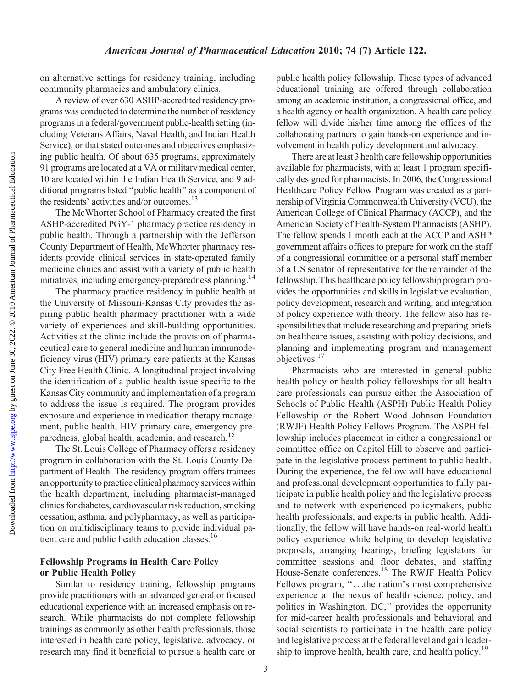on alternative settings for residency training, including community pharmacies and ambulatory clinics.

A review of over 630 ASHP-accredited residency programs was conducted to determine the number of residency programs in a federal/government public-health setting (including Veterans Affairs, Naval Health, and Indian Health Service), or that stated outcomes and objectives emphasizing public health. Of about 635 programs, approximately 91 programs are located at a VA or military medical center, 10 are located within the Indian Health Service, and 9 additional programs listed ''public health'' as a component of the residents' activities and/or outcomes.<sup>13</sup>

The McWhorter School of Pharmacy created the first ASHP-accredited PGY-1 pharmacy practice residency in public health. Through a partnership with the Jefferson County Department of Health, McWhorter pharmacy residents provide clinical services in state-operated family medicine clinics and assist with a variety of public health initiatives, including emergency-preparedness planning.<sup>14</sup>

The pharmacy practice residency in public health at the University of Missouri-Kansas City provides the aspiring public health pharmacy practitioner with a wide variety of experiences and skill-building opportunities. Activities at the clinic include the provision of pharmaceutical care to general medicine and human immunodeficiency virus (HIV) primary care patients at the Kansas City Free Health Clinic. A longitudinal project involving the identification of a public health issue specific to the Kansas City community and implementation of a program to address the issue is required. The program provides exposure and experience in medication therapy management, public health, HIV primary care, emergency preparedness, global health, academia, and research.<sup>15</sup>

The St. Louis College of Pharmacy offers a residency program in collaboration with the St. Louis County Department of Health. The residency program offers trainees an opportunity to practice clinical pharmacy services within the health department, including pharmacist-managed clinics for diabetes, cardiovascular risk reduction, smoking cessation, asthma, and polypharmacy, as well as participation on multidisciplinary teams to provide individual patient care and public health education classes.<sup>16</sup>

#### Fellowship Programs in Health Care Policy or Public Health Policy

Similar to residency training, fellowship programs provide practitioners with an advanced general or focused educational experience with an increased emphasis on research. While pharmacists do not complete fellowship trainings as commonly as other health professionals, those interested in health care policy, legislative, advocacy, or research may find it beneficial to pursue a health care or public health policy fellowship. These types of advanced educational training are offered through collaboration among an academic institution, a congressional office, and a health agency or health organization. A health care policy fellow will divide his/her time among the offices of the collaborating partners to gain hands-on experience and involvement in health policy development and advocacy.

There are at least 3 health care fellowship opportunities available for pharmacists, with at least 1 program specifically designed for pharmacists. In 2006, the Congressional Healthcare Policy Fellow Program was created as a partnership of Virginia Commonwealth University (VCU), the American College of Clinical Pharmacy (ACCP), and the American Society of Health-System Pharmacists (ASHP). The fellow spends 1 month each at the ACCP and ASHP government affairs offices to prepare for work on the staff of a congressional committee or a personal staff member of a US senator of representative for the remainder of the fellowship. This healthcare policy fellowship program provides the opportunities and skills in legislative evaluation, policy development, research and writing, and integration of policy experience with theory. The fellow also has responsibilities that include researching and preparing briefs on healthcare issues, assisting with policy decisions, and planning and implementing program and management objectives.<sup>17</sup>

Pharmacists who are interested in general public health policy or health policy fellowships for all health care professionals can pursue either the Association of Schools of Public Health (ASPH) Public Health Policy Fellowship or the Robert Wood Johnson Foundation (RWJF) Health Policy Fellows Program. The ASPH fellowship includes placement in either a congressional or committee office on Capitol Hill to observe and participate in the legislative process pertinent to public health. During the experience, the fellow will have educational and professional development opportunities to fully participate in public health policy and the legislative process and to network with experienced policymakers, public health professionals, and experts in public health. Additionally, the fellow will have hands-on real-world health policy experience while helping to develop legislative proposals, arranging hearings, briefing legislators for committee sessions and floor debates, and staffing House-Senate conferences.<sup>18</sup> The RWJF Health Policy Fellows program, "...the nation's most comprehensive experience at the nexus of health science, policy, and politics in Washington, DC,'' provides the opportunity for mid-career health professionals and behavioral and social scientists to participate in the health care policy and legislative process at the federal level and gain leadership to improve health, health care, and health policy.<sup>19</sup>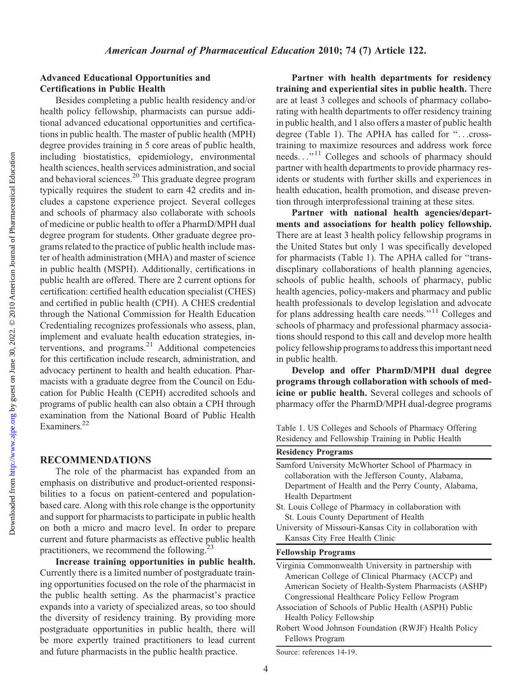#### Advanced Educational Opportunities and Certifications in Public Health

Besides completing a public health residency and/or health policy fellowship, pharmacists can pursue additional advanced educational opportunities and certifications in public health. The master of public health (MPH) degree provides training in 5 core areas of public health, including biostatistics, epidemiology, environmental health sciences, health services administration, and social and behavioral sciences.<sup>20</sup> This graduate degree program typically requires the student to earn 42 credits and includes a capstone experience project. Several colleges and schools of pharmacy also collaborate with schools of medicine or public health to offer a PharmD/MPH dual degree program for students. Other graduate degree programs related to the practice of public health include master of health administration (MHA) and master of science in public health (MSPH). Additionally, certifications in public health are offered. There are 2 current options for certification: certified health education specialist (CHES) and certified in public health (CPH). A CHES credential through the National Commission for Health Education Credentialing recognizes professionals who assess, plan, implement and evaluate health education strategies, interventions, and programs.<sup>21</sup> Additional competencies for this certification include research, administration, and advocacy pertinent to health and health education. Pharmacists with a graduate degree from the Council on Education for Public Health (CEPH) accredited schools and programs of public health can also obtain a CPH through examination from the National Board of Public Health Examiners.<sup>22</sup>

#### RECOMMENDATIONS

The role of the pharmacist has expanded from an emphasis on distributive and product-oriented responsibilities to a focus on patient-centered and populationbased care. Along with this role change is the opportunity and support for pharmacists to participate in public health on both a micro and macro level. In order to prepare current and future pharmacists as effective public health practitioners, we recommend the following. $2<sup>3</sup>$ 

Increase training opportunities in public health. Currently there is a limited number of postgraduate training opportunities focused on the role of the pharmacist in the public health setting. As the pharmacist's practice expands into a variety of specialized areas, so too should the diversity of residency training. By providing more postgraduate opportunities in public health, there will be more expertly trained practitioners to lead current and future pharmacists in the public health practice.

Partner with health departments for residency training and experiential sites in public health. There are at least 3 colleges and schools of pharmacy collaborating with health departments to offer residency training in public health, and 1 also offers a master of public health degree (Table 1). The APHA has called for ''...crosstraining to maximize resources and address work force needs..."<sup>11</sup> Colleges and schools of pharmacy should partner with health departments to provide pharmacy residents or students with further skills and experiences in health education, health promotion, and disease prevention through interprofessional training at these sites.

Partner with national health agencies/departments and associations for health policy fellowship. There are at least 3 health policy fellowship programs in the United States but only 1 was specifically developed for pharmacists (Table 1). The APHA called for ''transdiscplinary collaborations of health planning agencies, schools of public health, schools of pharmacy, public health agencies, policy-makers and pharmacy and public health professionals to develop legislation and advocate for plans addressing health care needs.''<sup>11</sup> Colleges and schools of pharmacy and professional pharmacy associations should respond to this call and develop more health policy fellowship programs to address this important need in public health.

Develop and offer PharmD/MPH dual degree programs through collaboration with schools of medicine or public health. Several colleges and schools of pharmacy offer the PharmD/MPH dual-degree programs

Table 1. US Colleges and Schools of Pharmacy Offering Residency and Fellowship Training in Public Health

| <b>Residency Programs</b>                                |
|----------------------------------------------------------|
| Samford University McWhorter School of Pharmacy in       |
| collaboration with the Jefferson County, Alabama,        |
| Department of Health and the Perry County, Alabama,      |
| Health Department                                        |
| St. Louis College of Pharmacy in collaboration with      |
| St. Louis County Department of Health                    |
| University of Missouri-Kansas City in collaboration with |
| Kansas City Free Health Clinic                           |
| <b>Fellowship Programs</b>                               |
| Virginia Commonwealth University in partnership with     |
| American College of Clinical Pharmacy (ACCP) and         |
| American Society of Health System Pharmacists (ASHD)     |

- American Society of Health-System Pharmacists (ASHP) Congressional Healthcare Policy Fellow Program Association of Schools of Public Health (ASPH) Public
- Health Policy Fellowship
- Robert Wood Johnson Foundation (RWJF) Health Policy Fellows Program

Source: references 14-19.